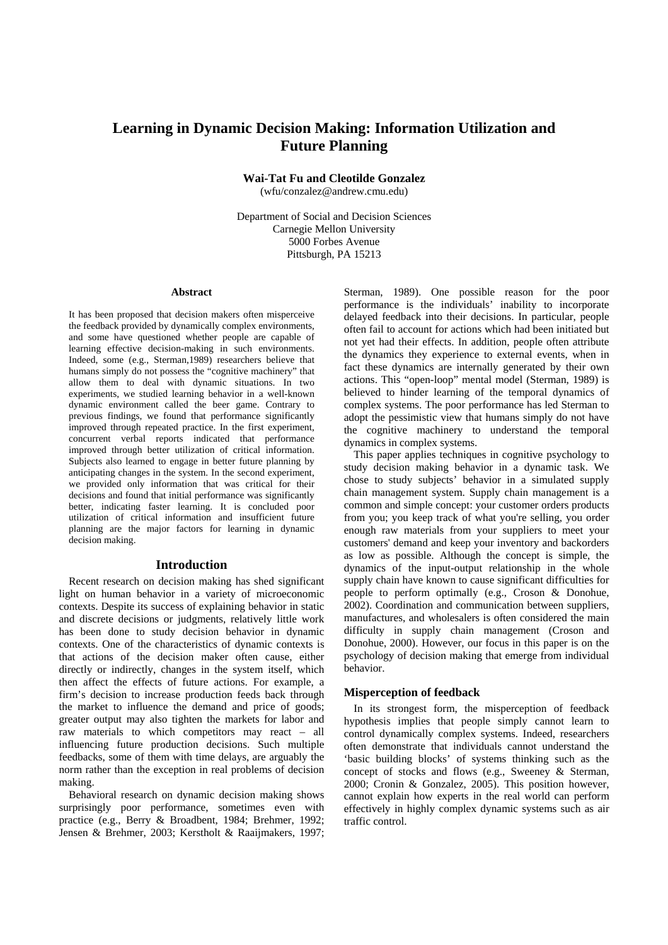# **Learning in Dynamic Decision Making: Information Utilization and Future Planning**

**Wai-Tat Fu and Cleotilde Gonzalez** 

(wfu/conzalez@andrew.cmu.edu)

Department of Social and Decision Sciences Carnegie Mellon University 5000 Forbes Avenue Pittsburgh, PA 15213

#### **Abstract**

It has been proposed that decision makers often misperceive the feedback provided by dynamically complex environments, and some have questioned whether people are capable of learning effective decision-making in such environments. Indeed, some (e.g., Sterman,1989) researchers believe that humans simply do not possess the "cognitive machinery" that allow them to deal with dynamic situations. In two experiments, we studied learning behavior in a well-known dynamic environment called the beer game. Contrary to previous findings, we found that performance significantly improved through repeated practice. In the first experiment, concurrent verbal reports indicated that performance improved through better utilization of critical information. Subjects also learned to engage in better future planning by anticipating changes in the system. In the second experiment, we provided only information that was critical for their decisions and found that initial performance was significantly better, indicating faster learning. It is concluded poor utilization of critical information and insufficient future planning are the major factors for learning in dynamic decision making.

# **Introduction**

Recent research on decision making has shed significant light on human behavior in a variety of microeconomic contexts. Despite its success of explaining behavior in static and discrete decisions or judgments, relatively little work has been done to study decision behavior in dynamic contexts. One of the characteristics of dynamic contexts is that actions of the decision maker often cause, either directly or indirectly, changes in the system itself, which then affect the effects of future actions. For example, a firm's decision to increase production feeds back through the market to influence the demand and price of goods; greater output may also tighten the markets for labor and raw materials to which competitors may react – all influencing future production decisions. Such multiple feedbacks, some of them with time delays, are arguably the norm rather than the exception in real problems of decision making.

Behavioral research on dynamic decision making shows surprisingly poor performance, sometimes even with practice (e.g., Berry & Broadbent, 1984; Brehmer, 1992; Jensen & Brehmer, 2003; Kerstholt & Raaijmakers, 1997; Sterman, 1989). One possible reason for the poor performance is the individuals' inability to incorporate delayed feedback into their decisions. In particular, people often fail to account for actions which had been initiated but not yet had their effects. In addition, people often attribute the dynamics they experience to external events, when in fact these dynamics are internally generated by their own actions. This "open-loop" mental model (Sterman, 1989) is believed to hinder learning of the temporal dynamics of complex systems. The poor performance has led Sterman to adopt the pessimistic view that humans simply do not have the cognitive machinery to understand the temporal dynamics in complex systems.

This paper applies techniques in cognitive psychology to study decision making behavior in a dynamic task. We chose to study subjects' behavior in a simulated supply chain management system. Supply chain management is a common and simple concept: your customer orders products from you; you keep track of what you're selling, you order enough raw materials from your suppliers to meet your customers' demand and keep your inventory and backorders as low as possible. Although the concept is simple, the dynamics of the input-output relationship in the whole supply chain have known to cause significant difficulties for people to perform optimally (e.g., Croson & Donohue, 2002). Coordination and communication between suppliers, manufactures, and wholesalers is often considered the main difficulty in supply chain management (Croson and Donohue, 2000). However, our focus in this paper is on the psychology of decision making that emerge from individual behavior.

## **Misperception of feedback**

In its strongest form, the misperception of feedback hypothesis implies that people simply cannot learn to control dynamically complex systems. Indeed, researchers often demonstrate that individuals cannot understand the 'basic building blocks' of systems thinking such as the concept of stocks and flows (e.g., Sweeney & Sterman, 2000; Cronin & Gonzalez, 2005). This position however, cannot explain how experts in the real world can perform effectively in highly complex dynamic systems such as air traffic control.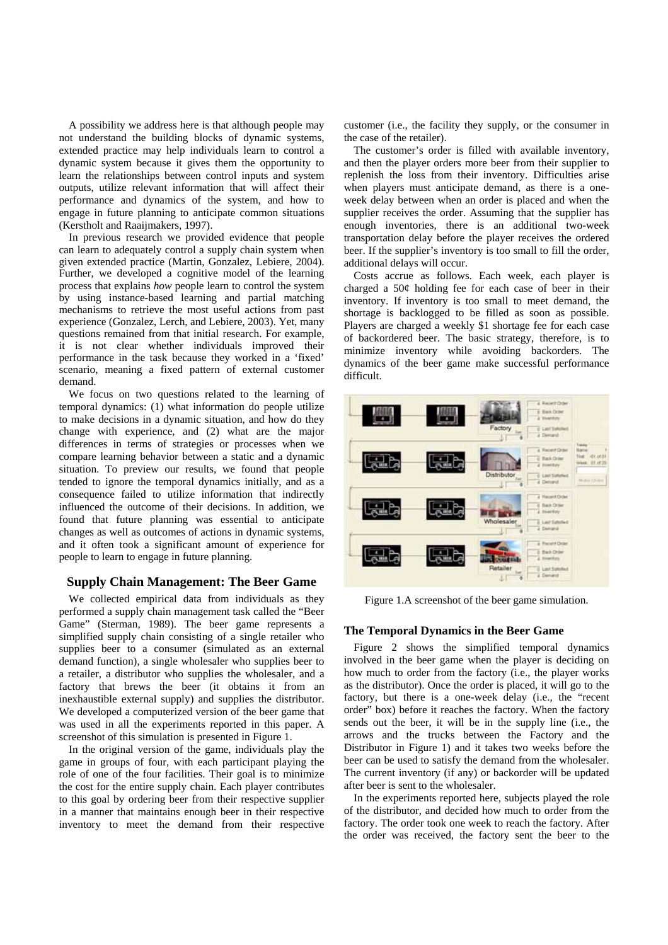A possibility we address here is that although people may not understand the building blocks of dynamic systems, extended practice may help individuals learn to control a dynamic system because it gives them the opportunity to learn the relationships between control inputs and system outputs, utilize relevant information that will affect their performance and dynamics of the system, and how to engage in future planning to anticipate common situations (Kerstholt and Raaijmakers, 1997).

In previous research we provided evidence that people can learn to adequately control a supply chain system when given extended practice (Martin, Gonzalez, Lebiere, 2004). Further, we developed a cognitive model of the learning process that explains *how* people learn to control the system by using instance-based learning and partial matching mechanisms to retrieve the most useful actions from past experience (Gonzalez, Lerch, and Lebiere, 2003). Yet, many questions remained from that initial research. For example, it is not clear whether individuals improved their performance in the task because they worked in a 'fixed' scenario, meaning a fixed pattern of external customer demand.

We focus on two questions related to the learning of temporal dynamics: (1) what information do people utilize to make decisions in a dynamic situation, and how do they change with experience, and (2) what are the major differences in terms of strategies or processes when we compare learning behavior between a static and a dynamic situation. To preview our results, we found that people tended to ignore the temporal dynamics initially, and as a consequence failed to utilize information that indirectly influenced the outcome of their decisions. In addition, we found that future planning was essential to anticipate changes as well as outcomes of actions in dynamic systems, and it often took a significant amount of experience for people to learn to engage in future planning.

# **Supply Chain Management: The Beer Game**

We collected empirical data from individuals as they performed a supply chain management task called the "Beer Game" (Sterman, 1989). The beer game represents a simplified supply chain consisting of a single retailer who supplies beer to a consumer (simulated as an external demand function), a single wholesaler who supplies beer to a retailer, a distributor who supplies the wholesaler, and a factory that brews the beer (it obtains it from an inexhaustible external supply) and supplies the distributor. We developed a computerized version of the beer game that was used in all the experiments reported in this paper. A screenshot of this simulation is presented in Figure 1.

In the original version of the game, individuals play the game in groups of four, with each participant playing the role of one of the four facilities. Their goal is to minimize the cost for the entire supply chain. Each player contributes to this goal by ordering beer from their respective supplier in a manner that maintains enough beer in their respective inventory to meet the demand from their respective customer (i.e., the facility they supply, or the consumer in the case of the retailer).

The customer's order is filled with available inventory, and then the player orders more beer from their supplier to replenish the loss from their inventory. Difficulties arise when players must anticipate demand, as there is a oneweek delay between when an order is placed and when the supplier receives the order. Assuming that the supplier has enough inventories, there is an additional two-week transportation delay before the player receives the ordered beer. If the supplier's inventory is too small to fill the order, additional delays will occur.

Costs accrue as follows. Each week, each player is charged a 50¢ holding fee for each case of beer in their inventory. If inventory is too small to meet demand, the shortage is backlogged to be filled as soon as possible. Players are charged a weekly \$1 shortage fee for each case of backordered beer. The basic strategy, therefore, is to minimize inventory while avoiding backorders. The dynamics of the beer game make successful performance difficult.



Figure 1.A screenshot of the beer game simulation.

## **The Temporal Dynamics in the Beer Game**

Figure 2 shows the simplified temporal dynamics involved in the beer game when the player is deciding on how much to order from the factory (i.e., the player works as the distributor). Once the order is placed, it will go to the factory, but there is a one-week delay (i.e., the "recent order" box) before it reaches the factory. When the factory sends out the beer, it will be in the supply line (i.e., the arrows and the trucks between the Factory and the Distributor in Figure 1) and it takes two weeks before the beer can be used to satisfy the demand from the wholesaler. The current inventory (if any) or backorder will be updated after beer is sent to the wholesaler.

In the experiments reported here, subjects played the role of the distributor, and decided how much to order from the factory. The order took one week to reach the factory. After the order was received, the factory sent the beer to the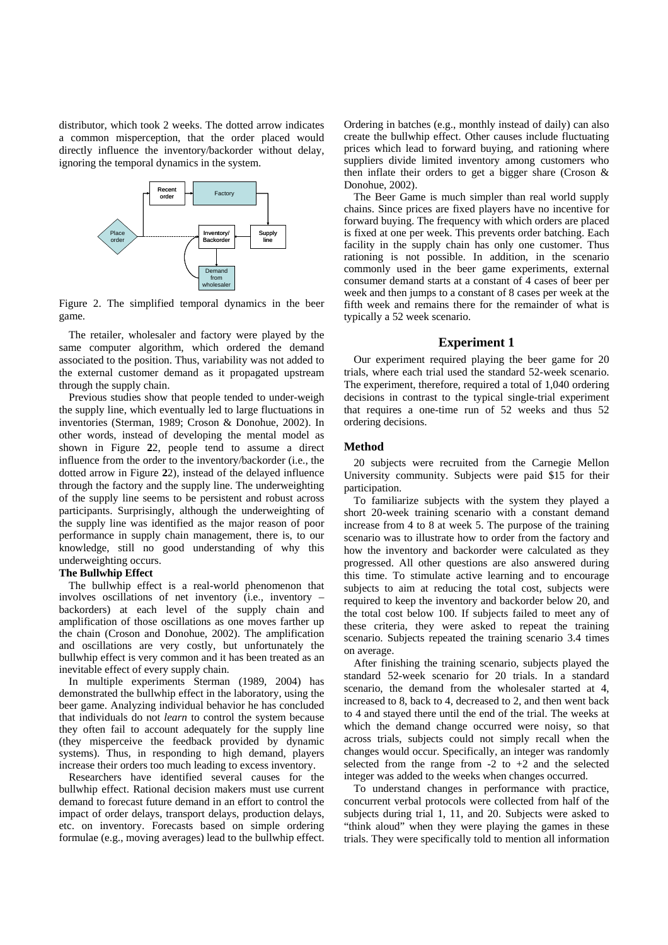distributor, which took 2 weeks. The dotted arrow indicates a common misperception, that the order placed would directly influence the inventory/backorder without delay, ignoring the temporal dynamics in the system.



Figure 2. The simplified temporal dynamics in the beer game.

The retailer, wholesaler and factory were played by the same computer algorithm, which ordered the demand associated to the position. Thus, variability was not added to the external customer demand as it propagated upstream through the supply chain.

Previous studies show that people tended to under-weigh the supply line, which eventually led to large fluctuations in inventories (Sterman, 1989; Croson & Donohue, 2002). In other words, instead of developing the mental model as shown in Figure **2**2, people tend to assume a direct influence from the order to the inventory/backorder (i.e., the dotted arrow in Figure **2**2), instead of the delayed influence through the factory and the supply line. The underweighting of the supply line seems to be persistent and robust across participants. Surprisingly, although the underweighting of the supply line was identified as the major reason of poor performance in supply chain management, there is, to our knowledge, still no good understanding of why this underweighting occurs.

## **The Bullwhip Effect**

The bullwhip effect is a real-world phenomenon that involves oscillations of net inventory (i.e., inventory – backorders) at each level of the supply chain and amplification of those oscillations as one moves farther up the chain (Croson and Donohue, 2002). The amplification and oscillations are very costly, but unfortunately the bullwhip effect is very common and it has been treated as an inevitable effect of every supply chain.

In multiple experiments Sterman (1989, 2004) has demonstrated the bullwhip effect in the laboratory, using the beer game. Analyzing individual behavior he has concluded that individuals do not *learn* to control the system because they often fail to account adequately for the supply line (they misperceive the feedback provided by dynamic systems). Thus, in responding to high demand, players increase their orders too much leading to excess inventory.

Researchers have identified several causes for the bullwhip effect. Rational decision makers must use current demand to forecast future demand in an effort to control the impact of order delays, transport delays, production delays, etc. on inventory. Forecasts based on simple ordering formulae (e.g., moving averages) lead to the bullwhip effect.

Ordering in batches (e.g., monthly instead of daily) can also create the bullwhip effect. Other causes include fluctuating prices which lead to forward buying, and rationing where suppliers divide limited inventory among customers who then inflate their orders to get a bigger share (Croson & Donohue, 2002).

The Beer Game is much simpler than real world supply chains. Since prices are fixed players have no incentive for forward buying. The frequency with which orders are placed is fixed at one per week. This prevents order batching. Each facility in the supply chain has only one customer. Thus rationing is not possible. In addition, in the scenario commonly used in the beer game experiments, external consumer demand starts at a constant of 4 cases of beer per week and then jumps to a constant of 8 cases per week at the fifth week and remains there for the remainder of what is typically a 52 week scenario.

## **Experiment 1**

Our experiment required playing the beer game for 20 trials, where each trial used the standard 52-week scenario. The experiment, therefore, required a total of 1,040 ordering decisions in contrast to the typical single-trial experiment that requires a one-time run of 52 weeks and thus 52 ordering decisions.

#### **Method**

20 subjects were recruited from the Carnegie Mellon University community. Subjects were paid \$15 for their participation.

To familiarize subjects with the system they played a short 20-week training scenario with a constant demand increase from 4 to 8 at week 5. The purpose of the training scenario was to illustrate how to order from the factory and how the inventory and backorder were calculated as they progressed. All other questions are also answered during this time. To stimulate active learning and to encourage subjects to aim at reducing the total cost, subjects were required to keep the inventory and backorder below 20, and the total cost below 100. If subjects failed to meet any of these criteria, they were asked to repeat the training scenario. Subjects repeated the training scenario 3.4 times on average.

After finishing the training scenario, subjects played the standard 52-week scenario for 20 trials. In a standard scenario, the demand from the wholesaler started at 4, increased to 8, back to 4, decreased to 2, and then went back to 4 and stayed there until the end of the trial. The weeks at which the demand change occurred were noisy, so that across trials, subjects could not simply recall when the changes would occur. Specifically, an integer was randomly selected from the range from  $-2$  to  $+2$  and the selected integer was added to the weeks when changes occurred.

To understand changes in performance with practice, concurrent verbal protocols were collected from half of the subjects during trial 1, 11, and 20. Subjects were asked to "think aloud" when they were playing the games in these trials. They were specifically told to mention all information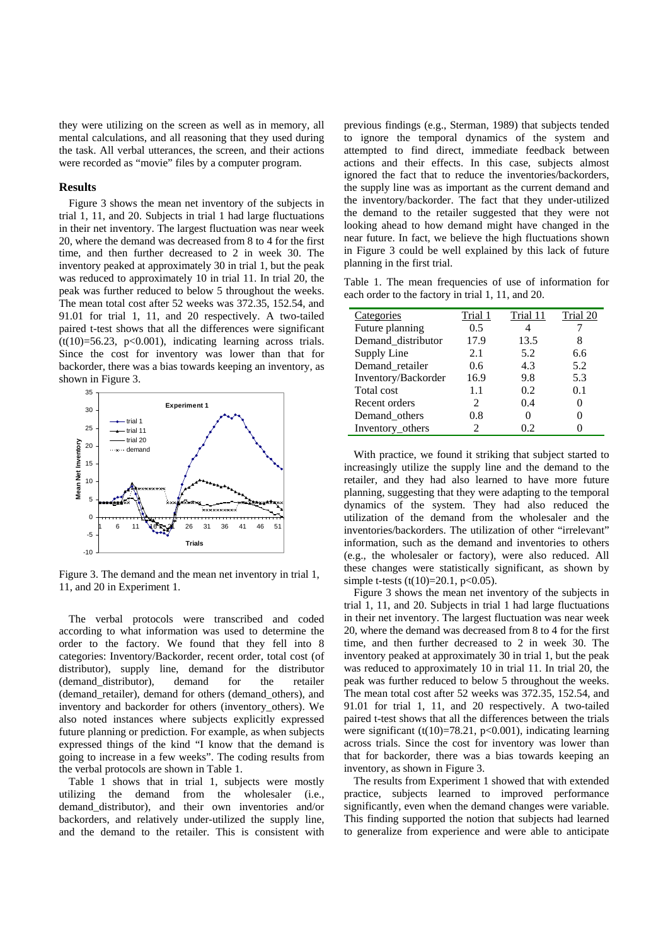they were utilizing on the screen as well as in memory, all mental calculations, and all reasoning that they used during the task. All verbal utterances, the screen, and their actions were recorded as "movie" files by a computer program.

#### **Results**

Figure 3 shows the mean net inventory of the subjects in trial 1, 11, and 20. Subjects in trial 1 had large fluctuations in their net inventory. The largest fluctuation was near week 20, where the demand was decreased from 8 to 4 for the first time, and then further decreased to 2 in week 30. The inventory peaked at approximately 30 in trial 1, but the peak was reduced to approximately 10 in trial 11. In trial 20, the peak was further reduced to below 5 throughout the weeks. The mean total cost after 52 weeks was 372.35, 152.54, and 91.01 for trial 1, 11, and 20 respectively. A two-tailed paired t-test shows that all the differences were significant  $(t(10)=56.23, p<0.001)$ , indicating learning across trials. Since the cost for inventory was lower than that for backorder, there was a bias towards keeping an inventory, as shown in Figure 3.



Figure 3. The demand and the mean net inventory in trial 1, 11, and 20 in Experiment 1.

The verbal protocols were transcribed and coded according to what information was used to determine the order to the factory. We found that they fell into 8 categories: Inventory/Backorder, recent order, total cost (of distributor), supply line, demand for the distributor (demand\_distributor), demand for the retailer (demand\_retailer), demand for others (demand\_others), and inventory and backorder for others (inventory\_others). We also noted instances where subjects explicitly expressed future planning or prediction. For example, as when subjects expressed things of the kind "I know that the demand is going to increase in a few weeks". The coding results from the verbal protocols are shown in Table 1.

Table 1 shows that in trial 1, subjects were mostly utilizing the demand from the wholesaler (i.e., demand\_distributor), and their own inventories and/or backorders, and relatively under-utilized the supply line, and the demand to the retailer. This is consistent with

previous findings (e.g., Sterman, 1989) that subjects tended to ignore the temporal dynamics of the system and attempted to find direct, immediate feedback between actions and their effects. In this case, subjects almost ignored the fact that to reduce the inventories/backorders, the supply line was as important as the current demand and the inventory/backorder. The fact that they under-utilized the demand to the retailer suggested that they were not looking ahead to how demand might have changed in the near future. In fact, we believe the high fluctuations shown in Figure 3 could be well explained by this lack of future planning in the first trial.

Table 1. The mean frequencies of use of information for each order to the factory in trial 1, 11, and 20.

| Categories          | Trial 1 | Trial 11 | Trial 20 |
|---------------------|---------|----------|----------|
| Future planning     | 0.5     |          |          |
| Demand_distributor  | 17.9    | 13.5     |          |
| Supply Line         | 2.1     | 5.2      | 6.6      |
| Demand_retailer     | 0.6     | 4.3      | 5.2      |
| Inventory/Backorder | 16.9    | 9.8      | 5.3      |
| Total cost          | 1.1     | 0.2      | 0.1      |
| Recent orders       | 2       | 0.4      |          |
| Demand others       | 0.8     |          |          |
| Inventory others    |         | 02       |          |

With practice, we found it striking that subject started to increasingly utilize the supply line and the demand to the retailer, and they had also learned to have more future planning, suggesting that they were adapting to the temporal dynamics of the system. They had also reduced the utilization of the demand from the wholesaler and the inventories/backorders. The utilization of other "irrelevant" information, such as the demand and inventories to others (e.g., the wholesaler or factory), were also reduced. All these changes were statistically significant, as shown by simple t-tests (t(10)=20.1, p<0.05).

Figure 3 shows the mean net inventory of the subjects in trial 1, 11, and 20. Subjects in trial 1 had large fluctuations in their net inventory. The largest fluctuation was near week 20, where the demand was decreased from 8 to 4 for the first time, and then further decreased to 2 in week 30. The inventory peaked at approximately 30 in trial 1, but the peak was reduced to approximately 10 in trial 11. In trial 20, the peak was further reduced to below 5 throughout the weeks. The mean total cost after 52 weeks was 372.35, 152.54, and 91.01 for trial 1, 11, and 20 respectively. A two-tailed paired t-test shows that all the differences between the trials were significant  $(t(10)=78.21, p<0.001)$ , indicating learning across trials. Since the cost for inventory was lower than that for backorder, there was a bias towards keeping an inventory, as shown in Figure 3.

The results from Experiment 1 showed that with extended practice, subjects learned to improved performance significantly, even when the demand changes were variable. This finding supported the notion that subjects had learned to generalize from experience and were able to anticipate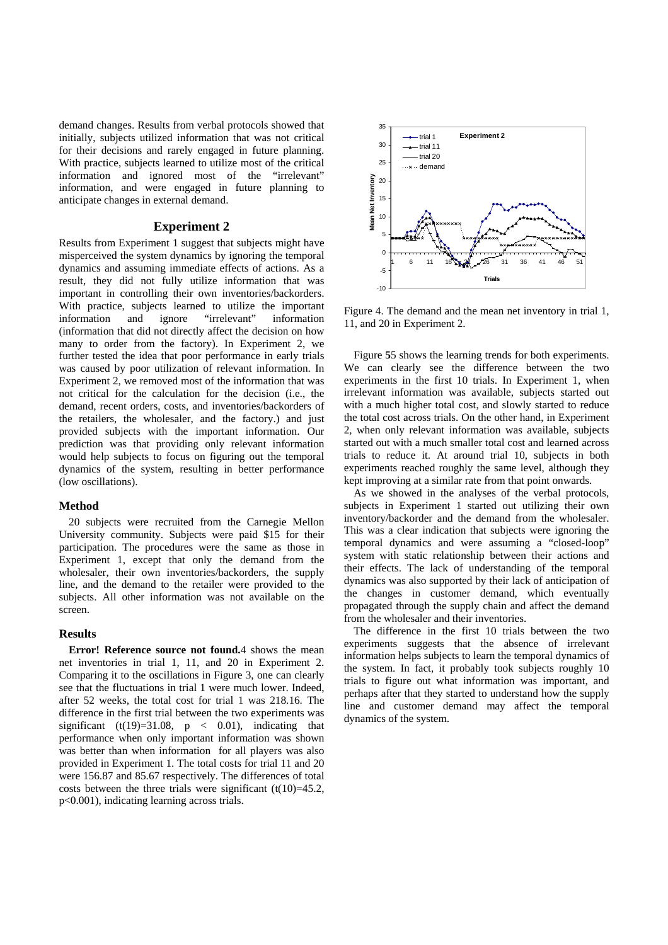demand changes. Results from verbal protocols showed that initially, subjects utilized information that was not critical for their decisions and rarely engaged in future planning. With practice, subjects learned to utilize most of the critical information and ignored most of the "irrelevant" information, and were engaged in future planning to anticipate changes in external demand.

## **Experiment 2**

Results from Experiment 1 suggest that subjects might have misperceived the system dynamics by ignoring the temporal dynamics and assuming immediate effects of actions. As a result, they did not fully utilize information that was important in controlling their own inventories/backorders. With practice, subjects learned to utilize the important information and ignore "irrelevant" information (information that did not directly affect the decision on how many to order from the factory). In Experiment 2, we further tested the idea that poor performance in early trials was caused by poor utilization of relevant information. In Experiment 2, we removed most of the information that was not critical for the calculation for the decision (i.e., the demand, recent orders, costs, and inventories/backorders of the retailers, the wholesaler, and the factory.) and just provided subjects with the important information. Our prediction was that providing only relevant information would help subjects to focus on figuring out the temporal dynamics of the system, resulting in better performance (low oscillations).

#### **Method**

20 subjects were recruited from the Carnegie Mellon University community. Subjects were paid \$15 for their participation. The procedures were the same as those in Experiment 1, except that only the demand from the wholesaler, their own inventories/backorders, the supply line, and the demand to the retailer were provided to the subjects. All other information was not available on the screen.

#### **Results**

**Error! Reference source not found.**4 shows the mean net inventories in trial 1, 11, and 20 in Experiment 2. Comparing it to the oscillations in Figure 3, one can clearly see that the fluctuations in trial 1 were much lower. Indeed, after 52 weeks, the total cost for trial 1 was 218.16. The difference in the first trial between the two experiments was significant (t(19)=31.08,  $p \lt 0.01$ ), indicating that performance when only important information was shown was better than when information for all players was also provided in Experiment 1. The total costs for trial 11 and 20 were 156.87 and 85.67 respectively. The differences of total costs between the three trials were significant  $(t(10)=45.2$ , p<0.001), indicating learning across trials.



Figure 4. The demand and the mean net inventory in trial 1, 11, and 20 in Experiment 2.

Figure **5**5 shows the learning trends for both experiments. We can clearly see the difference between the two experiments in the first 10 trials. In Experiment 1, when irrelevant information was available, subjects started out with a much higher total cost, and slowly started to reduce the total cost across trials. On the other hand, in Experiment 2, when only relevant information was available, subjects started out with a much smaller total cost and learned across trials to reduce it. At around trial 10, subjects in both experiments reached roughly the same level, although they kept improving at a similar rate from that point onwards.

As we showed in the analyses of the verbal protocols, subjects in Experiment 1 started out utilizing their own inventory/backorder and the demand from the wholesaler. This was a clear indication that subjects were ignoring the temporal dynamics and were assuming a "closed-loop" system with static relationship between their actions and their effects. The lack of understanding of the temporal dynamics was also supported by their lack of anticipation of the changes in customer demand, which eventually propagated through the supply chain and affect the demand from the wholesaler and their inventories.

The difference in the first 10 trials between the two experiments suggests that the absence of irrelevant information helps subjects to learn the temporal dynamics of the system. In fact, it probably took subjects roughly 10 trials to figure out what information was important, and perhaps after that they started to understand how the supply line and customer demand may affect the temporal dynamics of the system.